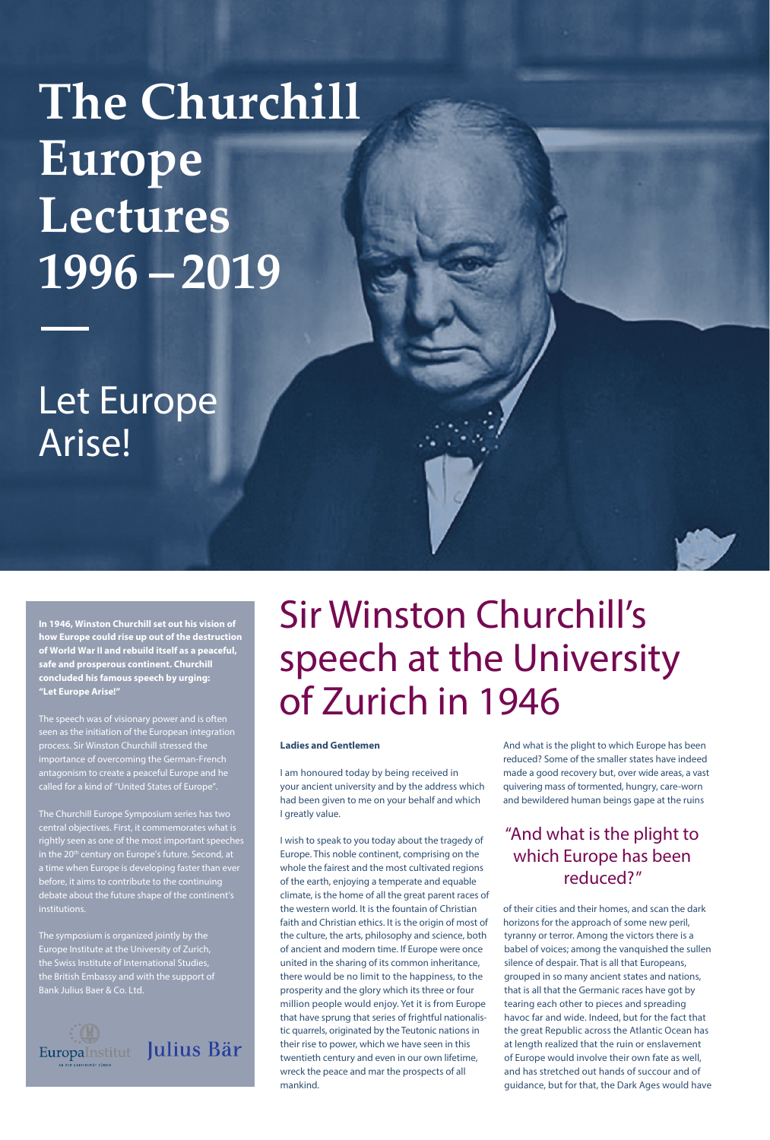Sir Winston Churchill's speech at the University of Zurich in 1946

> And what is the plight to which Europe has been reduced? Some of the smaller states have indeed made a good recovery but, over wide areas, a vast quivering mass of tormented, hungry, care-worn and bewildered human beings gape at the ruins

of their cities and their homes, and scan the dark horizons for the approach of some new peril, tyranny or terror. Among the victors there is a babel of voices; among the vanquished the sullen silence of despair. That is all that Europeans, grouped in so many ancient states and nations, that is all that the Germanic races have got by tearing each other to pieces and spreading havoc far and wide. Indeed, but for the fact that the great Republic across the Atlantic Ocean has at length realized that the ruin or enslavement of Europe would involve their own fate as well, and has stretched out hands of succour and of guidance, but for that, the Dark Ages would have

# "And what is the plight to which Europe has been reduced?"

**In 1946, Winston Churchill set out his vision of how Europe could rise up out of the destruction of World War II and rebuild itself as a peaceful, safe and prosperous continent. Churchill concluded his famous speech by urging: "Let Europe Arise!"** 

The speech was of visionary power and is often seen as the initiation of the European integration process. Sir Winston Churchill stressed the importance of overcoming the German-French antagonism to create a peaceful Europe and he called for a kind of "United States of Europe".

The Churchill Europe Symposium series has two central objectives. First, it commemorates what is rightly seen as one of the most important speeches in the 20<sup>th</sup> century on Europe's future. Second, at a time when Europe is developing faster than ever before, it aims to contribute to the continuing debate about the future shape of the continent's

The symposium is organized jointly by the Europe Institute at the University of Zurich, the Swiss Institute of International Studies, the British Embassy and with the support of Bank Julius Baer & Co. Ltd.



### **Ladies and Gentlemen**

I am honoured today by being received in your ancient university and by the address which had been given to me on your behalf and which I greatly value.

I wish to speak to you today about the tragedy of Europe. This noble continent, comprising on the whole the fairest and the most cultivated regions of the earth, enjoying a temperate and equable climate, is the home of all the great parent races of the western world. It is the fountain of Christian faith and Christian ethics. It is the origin of most of the culture, the arts, philosophy and science, both of ancient and modern time. If Europe were once united in the sharing of its common inheritance, there would be no limit to the happiness, to the prosperity and the glory which its three or four million people would enjoy. Yet it is from Europe that have sprung that series of frightful nationalistic quarrels, originated by the Teutonic nations in their rise to power, which we have seen in this twentieth century and even in our own lifetime, wreck the peace and mar the prospects of all mankind.

# Let Europe Arise!

**The Churchill Europe Lectures 1996 – 2019**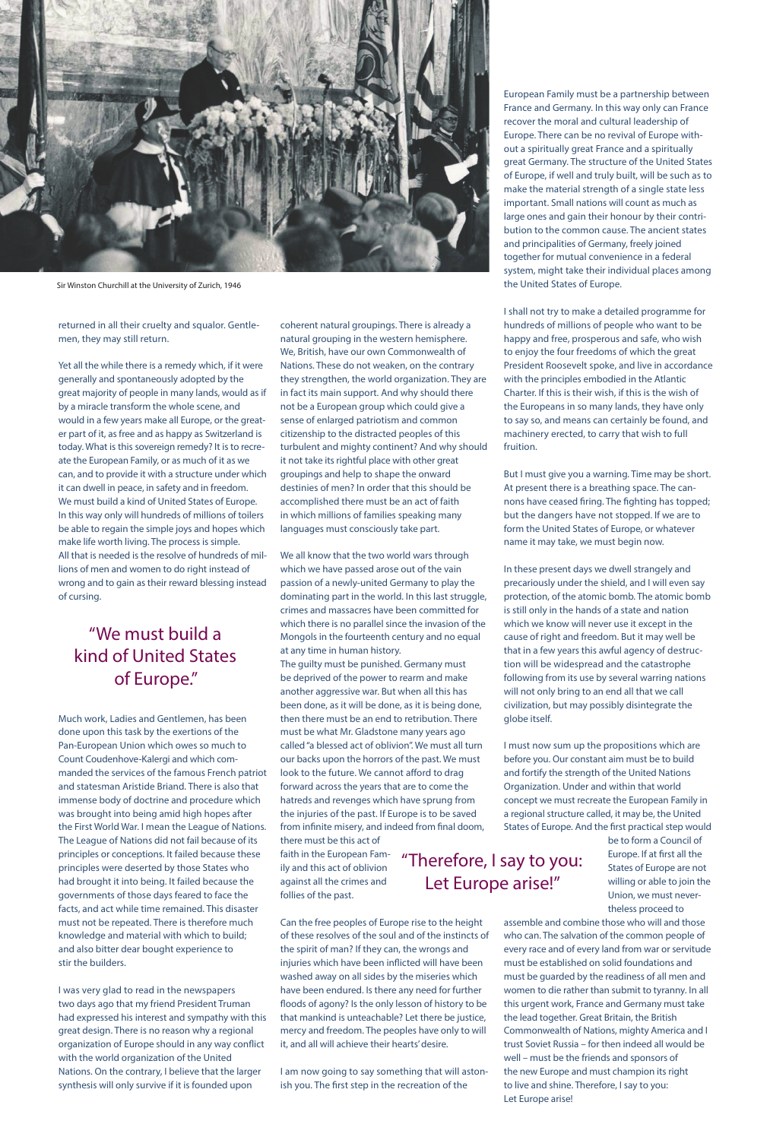returned in all their cruelty and squalor. Gentlemen, they may still return.

Yet all the while there is a remedy which, if it were generally and spontaneously adopted by the great majority of people in many lands, would as if by a miracle transform the whole scene, and would in a few years make all Europe, or the greater part of it, as free and as happy as Switzerland is today. What is this sovereign remedy? It is to recreate the European Family, or as much of it as we can, and to provide it with a structure under which it can dwell in peace, in safety and in freedom. We must build a kind of United States of Europe. In this way only will hundreds of millions of toilers be able to regain the simple joys and hopes which make life worth living. The process is simple. All that is needed is the resolve of hundreds of millions of men and women to do right instead of wrong and to gain as their reward blessing instead of cursing.

Much work, Ladies and Gentlemen, has been done upon this task by the exertions of the Pan-European Union which owes so much to Count Coudenhove-Kalergi and which commanded the services of the famous French patriot and statesman Aristide Briand. There is also that immense body of doctrine and procedure which was brought into being amid high hopes after the First World War. I mean the League of Nations. The League of Nations did not fail because of its principles or conceptions. It failed because these principles were deserted by those States who had brought it into being. It failed because the governments of those days feared to face the facts, and act while time remained. This disaster must not be repeated. There is therefore much knowledge and material with which to build; and also bitter dear bought experience to stir the builders.

I was very glad to read in the newspapers two days ago that my friend President Truman had expressed his interest and sympathy with this great design. There is no reason why a regional organization of Europe should in any way conflict with the world organization of the United Nations. On the contrary, I believe that the larger synthesis will only survive if it is founded upon

I am now going to say something that will astonish you. The first step in the recreation of the

coherent natural groupings. There is already a natural grouping in the western hemisphere. We, British, have our own Commonwealth of Nations. These do not weaken, on the contrary they strengthen, the world organization. They are in fact its main support. And why should there not be a European group which could give a sense of enlarged patriotism and common citizenship to the distracted peoples of this turbulent and mighty continent? And why should it not take its rightful place with other great groupings and help to shape the onward destinies of men? In order that this should be accomplished there must be an act of faith in which millions of families speaking many languages must consciously take part.

We all know that the two world wars through which we have passed arose out of the vain passion of a newly-united Germany to play the dominating part in the world. In this last struggle, crimes and massacres have been committed for which there is no parallel since the invasion of the Mongols in the fourteenth century and no equal at any time in human history.

> I must now sum up the propositions which are before you. Our constant aim must be to build and fortify the strength of the United Nations Organization. Under and within that world concept we must recreate the European Family in a regional structure called, it may be, the United States of Europe. And the first practical step would

The guilty must be punished. Germany must be deprived of the power to rearm and make another aggressive war. But when all this has been done, as it will be done, as it is being done, then there must be an end to retribution. There must be what Mr. Gladstone many years ago called "a blessed act of oblivion". We must all turn our backs upon the horrors of the past. We must look to the future. We cannot afford to drag forward across the years that are to come the hatreds and revenges which have sprung from the injuries of the past. If Europe is to be saved from infinite misery, and indeed from final doom, there must be this act of

faith in the European Family and this act of oblivion against all the crimes and follies of the past.

Can the free peoples of Europe rise to the height of these resolves of the soul and of the instincts of the spirit of man? If they can, the wrongs and injuries which have been inflicted will have been washed away on all sides by the miseries which have been endured. Is there any need for further floods of agony? Is the only lesson of history to be that mankind is unteachable? Let there be justice, mercy and freedom. The peoples have only to will it, and all will achieve their hearts' desire.

European Family must be a partnership between France and Germany. In this way only can France recover the moral and cultural leadership of Europe. There can be no revival of Europe without a spiritually great France and a spiritually great Germany. The structure of the United States of Europe, if well and truly built, will be such as to make the material strength of a single state less important. Small nations will count as much as large ones and gain their honour by their contribution to the common cause. The ancient states and principalities of Germany, freely joined together for mutual convenience in a federal system, might take their individual places among the United States of Europe.

I shall not try to make a detailed programme for hundreds of millions of people who want to be happy and free, prosperous and safe, who wish to enjoy the four freedoms of which the great President Roosevelt spoke, and live in accordance with the principles embodied in the Atlantic Charter. If this is their wish, if this is the wish of the Europeans in so many lands, they have only to say so, and means can certainly be found, and machinery erected, to carry that wish to full fruition.

But I must give you a warning. Time may be short. At present there is a breathing space. The cannons have ceased firing. The fighting has topped; but the dangers have not stopped. If we are to form the United States of Europe, or whatever name it may take, we must begin now.

In these present days we dwell strangely and precariously under the shield, and I will even say protection, of the atomic bomb. The atomic bomb is still only in the hands of a state and nation which we know will never use it except in the cause of right and freedom. But it may well be that in a few years this awful agency of destruction will be widespread and the catastrophe following from its use by several warring nations will not only bring to an end all that we call civilization, but may possibly disintegrate the globe itself.

> be to form a Council of Europe. If at first all the States of Europe are not willing or able to join the Union, we must never-

#### theless proceed to

assemble and combine those who will and those who can. The salvation of the common people of every race and of every land from war or servitude must be established on solid foundations and must be guarded by the readiness of all men and women to die rather than submit to tyranny. In all this urgent work, France and Germany must take the lead together. Great Britain, the British Commonwealth of Nations, mighty America and I trust Soviet Russia – for then indeed all would be well – must be the friends and sponsors of the new Europe and must champion its right to live and shine. Therefore, I say to you: Let Europe arise!

# "We must build a kind of United States of Europe."

"Therefore, I say to you: Let Europe arise!"



Sir Winston Churchill at the University of Zurich, 1946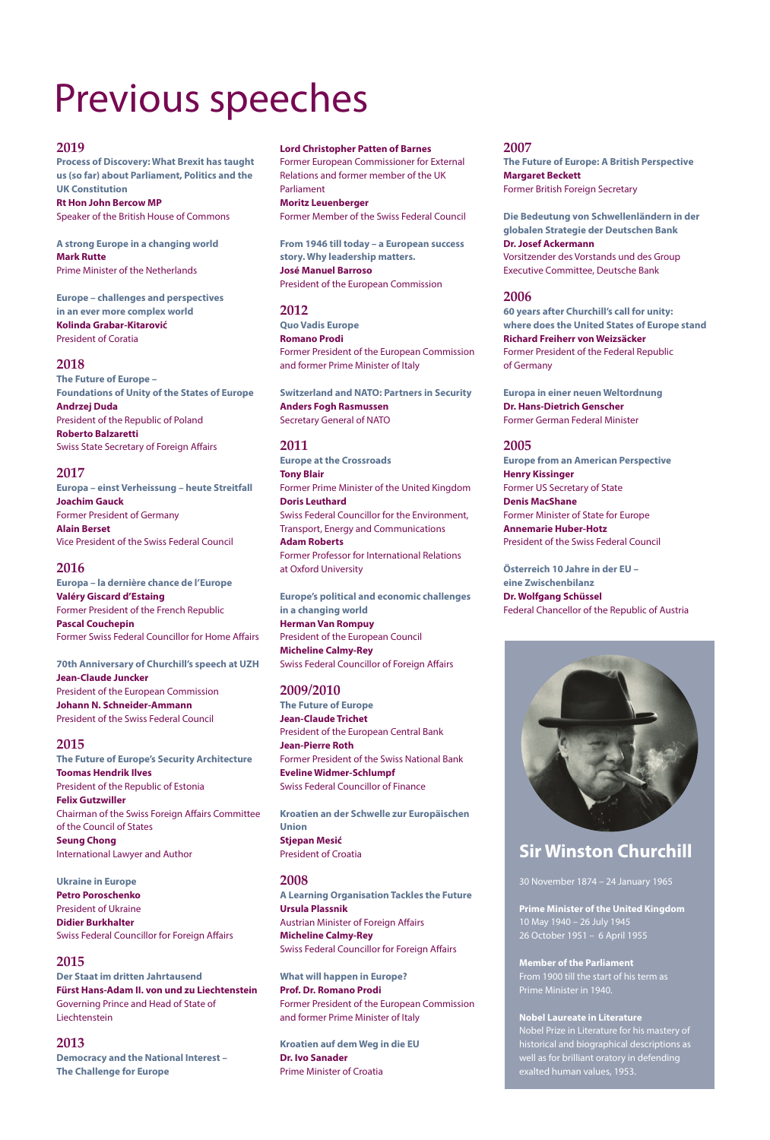### **2019**

**Process of Discovery: What Brexit has taught us (so far) about Parliament, Politics and the UK Constitution**

**Rt Hon John Bercow MP** Speaker of the British House of Commons

**The Future of Europe – Foundations of Unity of the States of Europe Andrzej Duda** President of the Republic of Poland **Roberto Balzaretti** Swiss State Secretary of Foreign Affairs

**A strong Europe in a changing world Mark Rutte** Prime Minister of the Netherlands

**Europe – challenges and perspectives in an ever more complex world Kolinda Grabar-Kitarović** President of Coratia

**Europa – la dernière chance de l'Europe Valéry Giscard d'Estaing** Former President of the French Republic **Pascal Couchepin** Former Swiss Federal Councillor for Home Affairs

### **2018**

### **2017**

**Europa – einst Verheissung – heute Streitfall Joachim Gauck** Former President of Germany **Alain Berset** Vice President of the Swiss Federal Council

President of Ukraine **Didier Burkhalter** Swiss Federal Councillor for Foreign Affairs

### **2016**

**70th Anniversary of Churchill's speech at UZH Jean-Claude Juncker** President of the European Commission **Johann N. Schneider-Ammann** President of the Swiss Federal Council

### **2015**

**The Future of Europe's Security Architecture Toomas Hendrik Ilves** President of the Republic of Estonia **Felix Gutzwiller** Chairman of the Swiss Foreign Affairs Committee of the Council of States **Seung Chong** International Lawyer and Author

**Europe's political and economic challenges in a changing world Herman Van Rompuy** President of the European Council **Micheline Calmy-Rey** Swiss Federal Councillor of Foreign Affairs

**Ukraine in Europe Petro Poroschenko**

### **2015**

**Der Staat im dritten Jahrtausend Fürst Hans-Adam II. von und zu Liechtenstein** Governing Prince and Head of State of Liechtenstein

### **2013**

**Democracy and the National Interest – The Challenge for Europe**

### **Lord Christopher Patten of Barnes**

Former European Commissioner for External Relations and former member of the UK Parliament **Moritz Leuenberger** Former Member of the Swiss Federal Council

**From 1946 till today – a European success story. Why leadership matters. José Manuel Barroso** President of the European Commission

### **2012 Quo Vadis Europe Romano Prodi** Former President of the European Commission and former Prime Minister of Italy

**Switzerland and NATO: Partners in Security Anders Fogh Rasmussen** Secretary General of NATO

# **2011**

**Europe at the Crossroads Tony Blair** Former Prime Minister of the United Kingdom **Doris Leuthard** Swiss Federal Councillor for the Environment, Transport, Energy and Communications **Adam Roberts**

Former Professor for International Relations at Oxford University

### **2009/2010**

**The Future of Europe Jean-Claude Trichet** President of the European Central Bank **Jean-Pierre Roth** Former President of the Swiss National Bank **Eveline Widmer-Schlumpf** Swiss Federal Councillor of Finance

**Kroatien an der Schwelle zur Europäischen Union Stjepan Mesić** President of Croatia

**2008 A Learning Organisation Tackles the Future**

#### **Ursula Plassnik**

Austrian Minister of Foreign Affairs **Micheline Calmy-Rey** Swiss Federal Councillor for Foreign Affairs

**What will happen in Europe? Prof. Dr. Romano Prodi** Former President of the European Commission and former Prime Minister of Italy

**Kroatien auf dem Weg in die EU Dr. Ivo Sanader** Prime Minister of Croatia

### **2007**

**The Future of Europe: A British Perspective Margaret Beckett** Former British Foreign Secretary

**Die Bedeutung von Schwellenländern in der globalen Strategie der Deutschen Bank Dr. Josef Ackermann** Vorsitzender des Vorstands und des Group Executive Committee, Deutsche Bank

### **2006**

**60 years after Churchill's call for unity: where does the United States of Europe stand Richard Freiherr von Weizsäcker** Former President of the Federal Republic of Germany

**Europa in einer neuen Weltordnung Dr. Hans-Dietrich Genscher** Former German Federal Minister

### **2005**

**Europe from an American Perspective Henry Kissinger** Former US Secretary of State **Denis MacShane** Former Minister of State for Europe **Annemarie Huber-Hotz** President of the Swiss Federal Council

**Österreich 10 Jahre in der EU – eine Zwischenbilanz Dr. Wolfgang Schüssel** Federal Chancellor of the Republic of Austria



# Previous speeches

# **Sir Winston Churchill**

30 November 1874 – 24 January 1965

**Prime Minister of the United Kingdom** 10 May 1940 – 26 July 1945 26 October 1951 – 6 April 1955

**Member of the Parliament** From 1900 till the start of his term as Prime Minister in 1940.

**Nobel Laureate in Literature** Nobel Prize in Literature for his mastery of historical and biographical descriptions as well as for brilliant oratory in defending exalted human values, 1953.